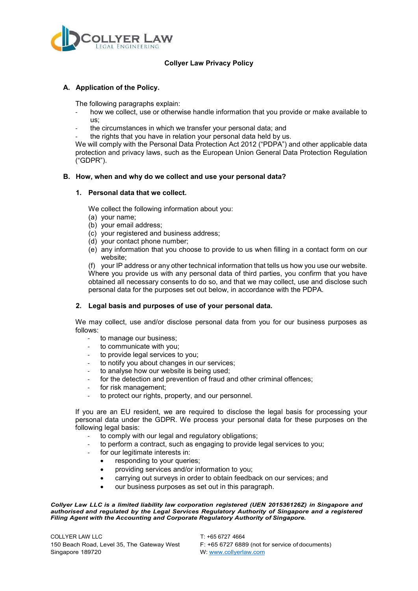

# **Collyer Law Privacy Policy**

### **A. Application of the Policy.**

The following paragraphs explain:

- how we collect, use or otherwise handle information that you provide or make available to us;
- the circumstances in which we transfer your personal data; and
- the rights that you have in relation your personal data held by us.

We will comply with the Personal Data Protection Act 2012 ("PDPA") and other applicable data protection and privacy laws, such as the European Union General Data Protection Regulation ("GDPR").

#### **B. How, when and why do we collect and use your personal data?**

#### **1. Personal data that we collect.**

We collect the following information about you:

- (a) your name;
- (b) your email address;
- (c) your registered and business address;
- (d) your contact phone number;
- (e) any information that you choose to provide to us when filling in a contact form on our website;

(f) your IP address or any other technical information that tells us how you use our website. Where you provide us with any personal data of third parties, you confirm that you have obtained all necessary consents to do so, and that we may collect, use and disclose such personal data for the purposes set out below, in accordance with the PDPA.

# **2. Legal basis and purposes of use of your personal data.**

We may collect, use and/or disclose personal data from you for our business purposes as follows:

- to manage our business;
- to communicate with you;
- to provide legal services to you;
- to notify you about changes in our services;
- to analyse how our website is being used;
- for the detection and prevention of fraud and other criminal offences;
- for risk management;
- to protect our rights, property, and our personnel.

If you are an EU resident, we are required to disclose the legal basis for processing your personal data under the GDPR. We process your personal data for these purposes on the following legal basis:

- to comply with our legal and regulatory obligations;
- to perform a contract, such as engaging to provide legal services to you;
- for our legitimate interests in:
	- responding to your queries:
	- providing services and/or information to you;
	- carrying out surveys in order to obtain feedback on our services; and
	- our business purposes as set out in this paragraph.

*Collyer Law LLC is a limited liability law corporation registered (UEN 201536126Z) in Singapore and authorised and regulated by the Legal Services Regulatory Authority of Singapore and a registered Filing Agent with the Accounting and Corporate Regulatory Authority of Singapore.*

COLLYER LAW LLC T: +65 6727 4664 Singapore 189720 W: [www.collyerlaw.com](http://www.collyerlaw.com/)

150 Beach Road, Level 35, The Gateway West F: +65 6727 6889 (not for service of documents)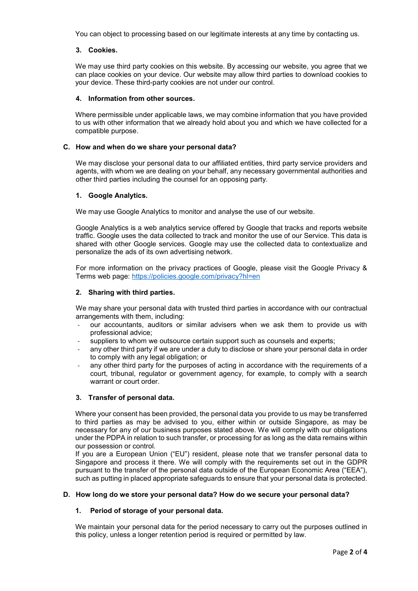You can object to processing based on our legitimate interests at any time by contacting us.

# **3. Cookies.**

We may use third party cookies on this website. By accessing our website, you agree that we can place cookies on your device. Our website may allow third parties to download cookies to your device. These third-party cookies are not under our control.

#### **4. Information from other sources.**

Where permissible under applicable laws, we may combine information that you have provided to us with other information that we already hold about you and which we have collected for a compatible purpose.

#### **C. How and when do we share your personal data?**

We may disclose your personal data to our affiliated entities, third party service providers and agents, with whom we are dealing on your behalf, any necessary governmental authorities and other third parties including the counsel for an opposing party.

### **1. Google Analytics.**

We may use Google Analytics to monitor and analyse the use of our website.

Google Analytics is a web analytics service offered by Google that tracks and reports website traffic. Google uses the data collected to track and monitor the use of our Service. This data is shared with other Google services. Google may use the collected data to contextualize and personalize the ads of its own advertising network.

For more information on the privacy practices of Google, please visit the Google Privacy & Terms web page:<https://policies.google.com/privacy?hl=en>

#### **2. Sharing with third parties.**

We may share your personal data with trusted third parties in accordance with our contractual arrangements with them, including:

- our accountants, auditors or similar advisers when we ask them to provide us with professional advice;
- suppliers to whom we outsource certain support such as counsels and experts;
- any other third party if we are under a duty to disclose or share your personal data in order to comply with any legal obligation; or
- any other third party for the purposes of acting in accordance with the requirements of a court, tribunal, regulator or government agency, for example, to comply with a search warrant or court order.

# **3. Transfer of personal data.**

Where your consent has been provided, the personal data you provide to us may be transferred to third parties as may be advised to you, either within or outside Singapore, as may be necessary for any of our business purposes stated above. We will comply with our obligations under the PDPA in relation to such transfer, or processing for as long as the data remains within our possession or control.

If you are a European Union ("EU") resident, please note that we transfer personal data to Singapore and process it there. We will comply with the requirements set out in the GDPR pursuant to the transfer of the personal data outside of the European Economic Area ("EEA"), such as putting in placed appropriate safeguards to ensure that your personal data is protected.

#### **D. How long do we store your personal data? How do we secure your personal data?**

# **1. Period of storage of your personal data.**

We maintain your personal data for the period necessary to carry out the purposes outlined in this policy, unless a longer retention period is required or permitted by law.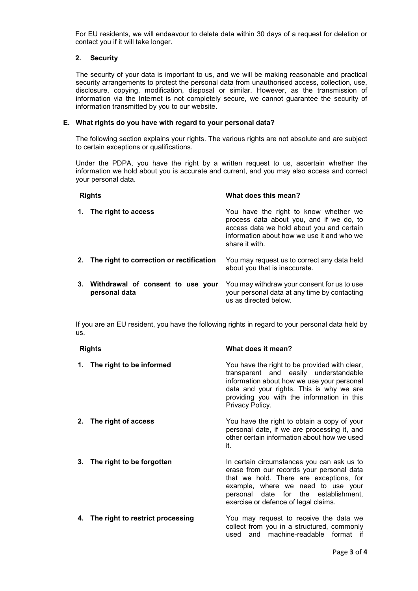For EU residents, we will endeavour to delete data within 30 days of a request for deletion or contact you if it will take longer.

### **2. Security**

The security of your data is important to us, and we will be making reasonable and practical security arrangements to protect the personal data from unauthorised access, collection, use, disclosure, copying, modification, disposal or similar. However, as the transmission of information via the Internet is not completely secure, we cannot guarantee the security of information transmitted by you to our website.

### **E. What rights do you have with regard to your personal data?**

The following section explains your rights. The various rights are not absolute and are subject to certain exceptions or qualifications.

Under the PDPA, you have the right by a written request to us, ascertain whether the information we hold about you is accurate and current, and you may also access and correct your personal data.

| <b>Rights</b> |                                                       | What does this mean?                                                                                                                                                                           |
|---------------|-------------------------------------------------------|------------------------------------------------------------------------------------------------------------------------------------------------------------------------------------------------|
| 1.            | The right to access                                   | You have the right to know whether we<br>process data about you, and if we do, to<br>access data we hold about you and certain<br>information about how we use it and who we<br>share it with. |
|               | 2. The right to correction or rectification           | You may request us to correct any data held<br>about you that is inaccurate.                                                                                                                   |
|               | 3. Withdrawal of consent to use your<br>personal data | You may withdraw your consent for us to use<br>your personal data at any time by contacting<br>us as directed below.                                                                           |

If you are an EU resident, you have the following rights in regard to your personal data held by us.

| <b>Rights</b> |                                     | What does it mean?                                                                                                                                                                                                                                       |
|---------------|-------------------------------------|----------------------------------------------------------------------------------------------------------------------------------------------------------------------------------------------------------------------------------------------------------|
|               | 1. The right to be informed         | You have the right to be provided with clear,<br>transparent and easily understandable<br>information about how we use your personal<br>data and your rights. This is why we are<br>providing you with the information in this<br>Privacy Policy.        |
|               | 2. The right of access              | You have the right to obtain a copy of your<br>personal date, if we are processing it, and<br>other certain information about how we used<br>it.                                                                                                         |
|               | 3. The right to be forgotten        | In certain circumstances you can ask us to<br>erase from our records your personal data<br>that we hold. There are exceptions, for<br>example, where we need to use your<br>personal date for the establishment,<br>exercise or defence of legal claims. |
|               | 4. The right to restrict processing | You may request to receive the data we<br>collect from you in a structured, commonly<br>used and machine-readable format if                                                                                                                              |